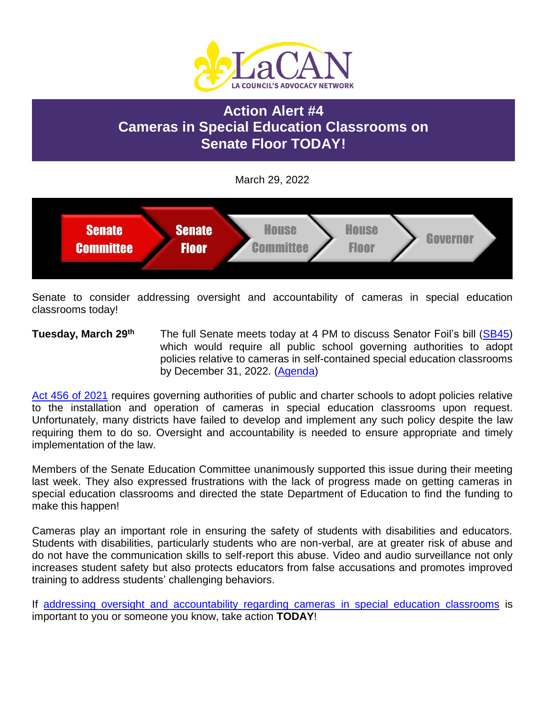

# **Action Alert #4 Cameras in Special Education Classrooms on Senate Floor TODAY!**

March 29, 2022



Senate to consider addressing oversight and accountability of cameras in special education classrooms today!

**Tuesday, March 29th** The full Senate meets today at 4 PM to discuss Senator Foil's bill [\(SB45\)](https://www.legis.la.gov/legis/BillInfo.aspx?i=241633) which would require all public school governing authorities to adopt policies relative to cameras in self-contained special education classrooms by December 31, 2022. [\(Agenda\)](https://www.legis.la.gov/legis/Agenda.aspx?c=S&g=BODY)

[Act 456 of 2021](https://www.legis.la.gov/legis/ViewDocument.aspx?d=1236004) requires governing authorities of public and charter schools to adopt policies relative to the installation and operation of cameras in special education classrooms upon request. Unfortunately, many districts have failed to develop and implement any such policy despite the law requiring them to do so. Oversight and accountability is needed to ensure appropriate and timely implementation of the law.

Members of the Senate Education Committee unanimously supported this issue during their meeting last week. They also expressed frustrations with the lack of progress made on getting cameras in special education classrooms and directed the state Department of Education to find the funding to make this happen!

Cameras play an important role in ensuring the safety of students with disabilities and educators. Students with disabilities, particularly students who are non-verbal, are at greater risk of abuse and do not have the communication skills to self-report this abuse. Video and audio surveillance not only increases student safety but also protects educators from false accusations and promotes improved training to address students' challenging behaviors.

If [addressing oversight and accountability regarding cameras in special education classrooms](https://laddc.org/wp-content/uploads/2022/01/CamerasInClassrooms-Fact-Sheet-1.21.22-1.pdf) is important to you or someone you know, take action **TODAY**!